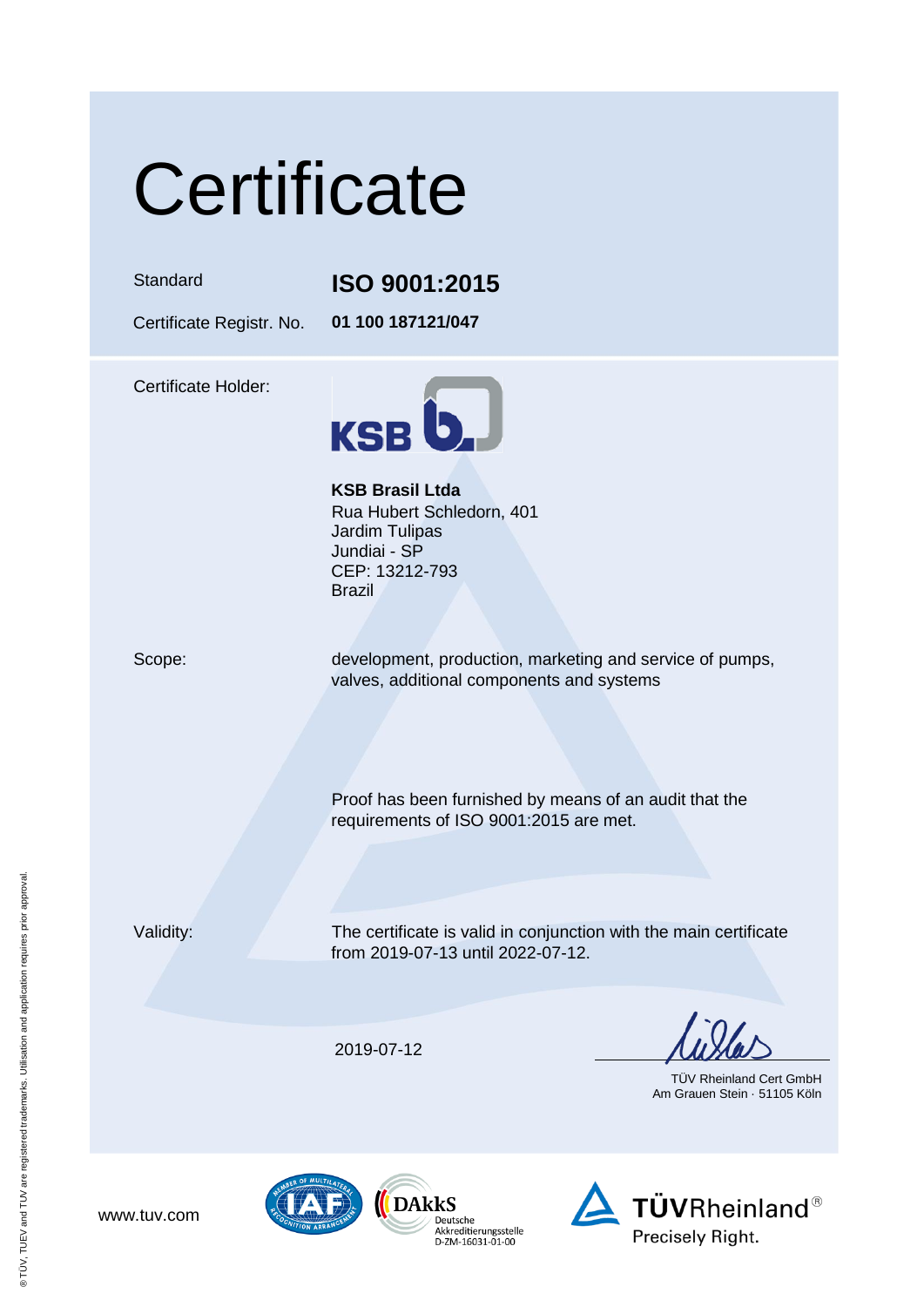# **Certificate**

#### Standard **ISO 9001:2015**

Certificate Registr. No. **01 100 187121/047**

Certificate Holder:



**KSB Brasil Ltda** Rua Hubert Schledorn, 401 Jardim Tulipas Jundiai - SP CEP: 13212-793 Brazil

Scope: development, production, marketing and service of pumps, valves, additional components and systems

> Proof has been furnished by means of an audit that the requirements of ISO 9001:2015 are met.

Validity: The certificate is valid in conjunction with the main certificate from 2019-07-13 until 2022-07-12.

2019-07-12

TÜV Rheinland Cert GmbH Am Grauen Stein · 51105 Köln







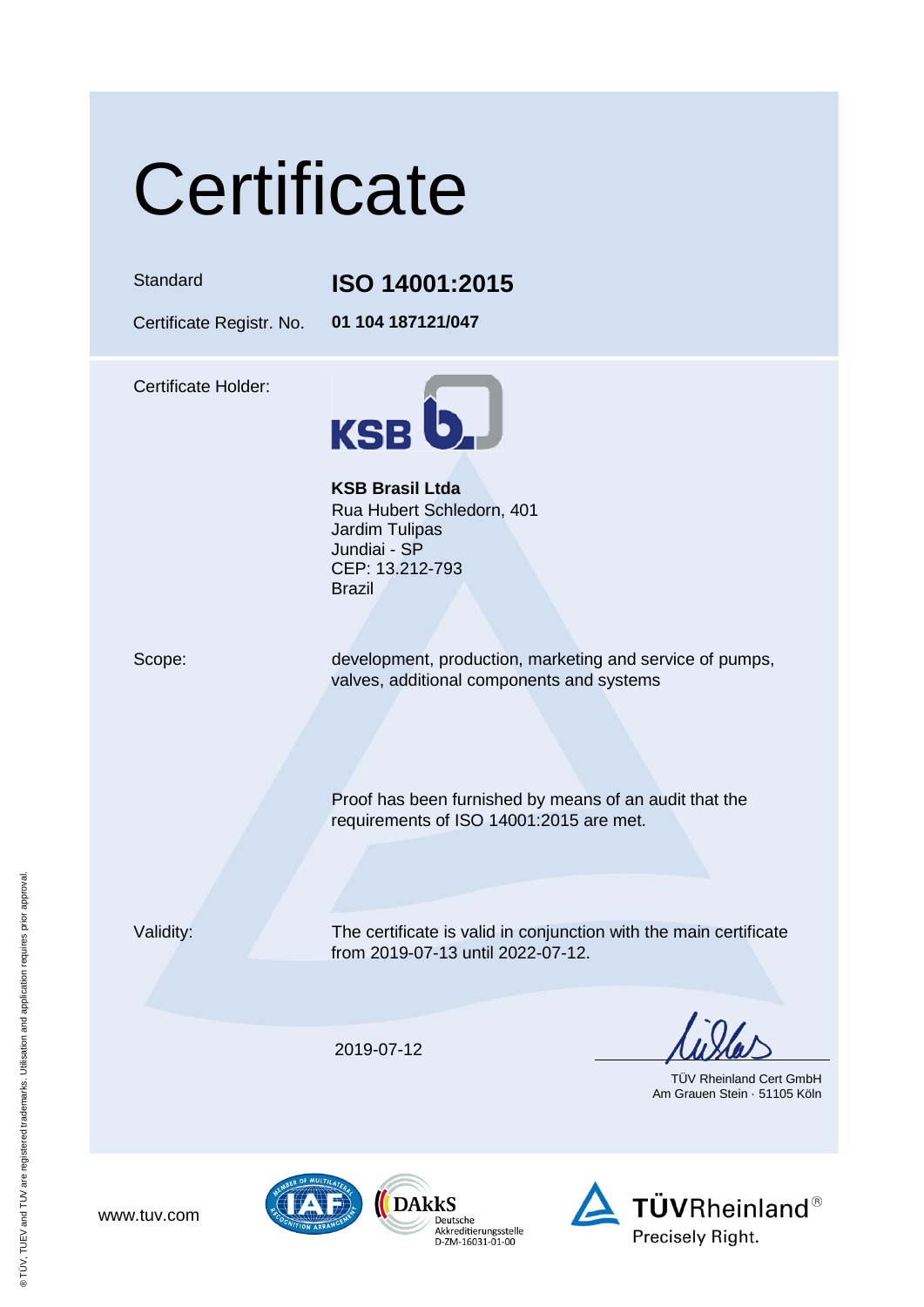# **Certificate**

### Standard **ISO 14001:2015**

Certificate Registr. No. **01 104 187121/047**

Certificate Holder:



**KSB Brasil Ltda** Rua Hubert Schledorn, 401 Jardim Tulipas Jundiai - SP CEP: 13.212-793 Brazil

Scope: development, production, marketing and service of pumps, valves, additional components and systems

> Proof has been furnished by means of an audit that the requirements of ISO 14001:2015 are met.

Validity: The certificate is valid in conjunction with the main certificate from 2019-07-13 until 2022-07-12.

2019-07-12

TÜV Rheinland Cert GmbH Am Grauen Stein · 51105 Köln